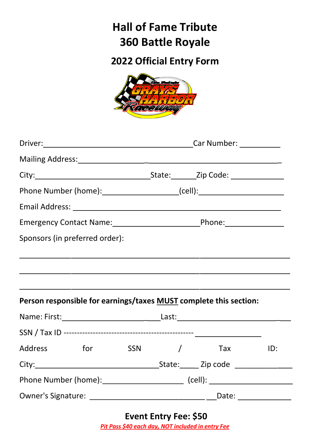# **Hall of Fame Tribute 360 Battle Royale**

# **2022 Official Entry Form**



|                                | Phone Number (home):_________________________(cell):____________________________ |                                                                                                                |     |  |  |
|--------------------------------|----------------------------------------------------------------------------------|----------------------------------------------------------------------------------------------------------------|-----|--|--|
|                                |                                                                                  |                                                                                                                |     |  |  |
|                                | Emergency Contact Name: 1990 120 Phone: 2008                                     |                                                                                                                |     |  |  |
| Sponsors (in preferred order): |                                                                                  |                                                                                                                |     |  |  |
|                                |                                                                                  | <u> 1989 - Johann Stoff, Amerikaansk politiker (* 1905)</u>                                                    |     |  |  |
|                                |                                                                                  |                                                                                                                |     |  |  |
|                                |                                                                                  |                                                                                                                |     |  |  |
|                                |                                                                                  | Person responsible for earnings/taxes MUST complete this section:                                              |     |  |  |
|                                |                                                                                  |                                                                                                                |     |  |  |
|                                |                                                                                  |                                                                                                                |     |  |  |
| Address for SSN /              |                                                                                  | Tax and the Tax and the Tax and the Tax and the Tax and the Tax and the Tax and the Tax and the Tax and the Ta | ID: |  |  |
|                                |                                                                                  |                                                                                                                |     |  |  |
|                                | Phone Number (home):__________________________ (cell): _________________________ |                                                                                                                |     |  |  |
|                                |                                                                                  |                                                                                                                |     |  |  |

**Event Entry Fee: \$50** *Pit Pass \$40 each day, NOT included in entry Fee*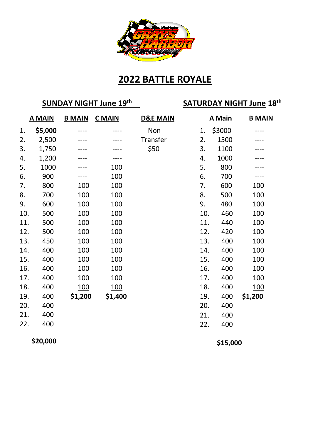

#### **2022 BATTLE ROYALE**

### **SUNDAY NIGHT June 19th SATURDAY NIGHT June 18th**

|     | <b>A MAIN</b> | <b>B MAIN</b> | <b>C</b> MAIN | <b>D&amp;E MAIN</b><br>A Main |     | <b>B MAIN</b> |            |
|-----|---------------|---------------|---------------|-------------------------------|-----|---------------|------------|
| 1.  | \$5,000       |               |               | Non                           | 1.  | \$3000        |            |
| 2.  | 2,500         |               |               | Transfer                      | 2.  | 1500          |            |
| 3.  | 1,750         |               |               | \$50                          | 3.  | 1100          |            |
| 4.  | 1,200         |               |               |                               | 4.  | 1000          |            |
| 5.  | 1000          |               | 100           |                               | 5.  | 800           |            |
| 6.  | 900           |               | 100           |                               | 6.  | 700           |            |
| 7.  | 800           | 100           | 100           |                               | 7.  | 600           | 100        |
| 8.  | 700           | 100           | 100           |                               | 8.  | 500           | 100        |
| 9.  | 600           | 100           | 100           |                               | 9.  | 480           | 100        |
| 10. | 500           | 100           | 100           |                               | 10. | 460           | 100        |
| 11. | 500           | 100           | 100           |                               | 11. | 440           | 100        |
| 12. | 500           | 100           | 100           |                               | 12. | 420           | 100        |
| 13. | 450           | 100           | 100           |                               | 13. | 400           | 100        |
| 14. | 400           | 100           | 100           |                               | 14. | 400           | 100        |
| 15. | 400           | 100           | 100           |                               | 15. | 400           | 100        |
| 16. | 400           | 100           | 100           |                               | 16. | 400           | 100        |
| 17. | 400           | 100           | 100           |                               | 17. | 400           | 100        |
| 18. | 400           | <u>100</u>    | <u>100</u>    |                               | 18. | 400           | <u>100</u> |
| 19. | 400           | \$1,200       | \$1,400       |                               | 19. | 400           | \$1,200    |
| 20. | 400           |               |               |                               | 20. | 400           |            |
| 21. | 400           |               |               |                               | 21. | 400           |            |
| 22. | 400           |               |               |                               | 22. | 400           |            |

**\$20,000**

**\$15,000**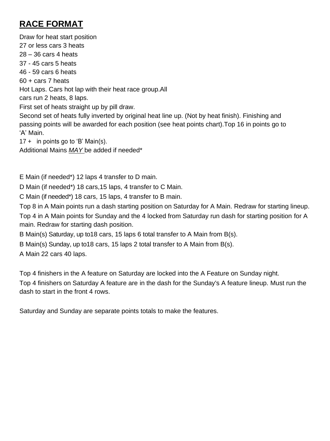#### **RACE FORMAT**

Draw for heat start position 27 or less cars 3 heats 28 – 36 cars 4 heats 37 - 45 cars 5 heats 46 - 59 cars 6 heats 60 + cars 7 heats Hot Laps. Cars hot lap with their heat race group.All cars run 2 heats, 8 laps. First set of heats straight up by pill draw. Second set of heats fully inverted by original heat line up. (Not by heat finish). Finishing and passing points will be awarded for each position (see heat points chart).Top 16 in points go to 'A' Main. 17 + in points go to 'B' Main(s). Additional Mains *MAY* be added if needed\*

E Main (if needed\*) 12 laps 4 transfer to D main.

D Main (if needed\*) 18 cars,15 laps, 4 transfer to C Main.

C Main (if needed\*) 18 cars, 15 laps, 4 transfer to B main.

Top 8 in A Main points run a dash starting position on Saturday for A Main. Redraw for starting lineup. Top 4 in A Main points for Sunday and the 4 locked from Saturday run dash for starting position for A main. Redraw for starting dash position.

B Main(s) Saturday, up to18 cars, 15 laps 6 total transfer to A Main from B(s).

B Main(s) Sunday, up to18 cars, 15 laps 2 total transfer to A Main from B(s).

A Main 22 cars 40 laps.

Top 4 finishers in the A feature on Saturday are locked into the A Feature on Sunday night.

Top 4 finishers on Saturday A feature are in the dash for the Sunday's A feature lineup. Must run the dash to start in the front 4 rows.

Saturday and Sunday are separate points totals to make the features.